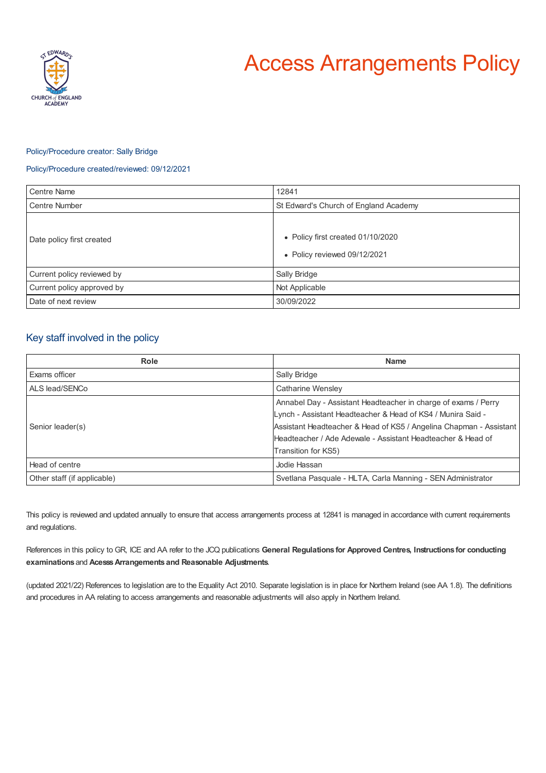

# Access Arrangements Policy

## Policy/Procedure creator: Sally Bridge

## Policy/Procedure created/reviewed: 09/12/2021

| Centre Name                | 12841                                                             |
|----------------------------|-------------------------------------------------------------------|
| <b>Centre Number</b>       | St Edward's Church of England Academy                             |
| Date policy first created  | • Policy first created 01/10/2020<br>• Policy reviewed 09/12/2021 |
| Current policy reviewed by | Sally Bridge                                                      |
| Current policy approved by | Not Applicable                                                    |
| Date of next review        | 30/09/2022                                                        |

# Key staff involved in the policy

| Role                        | <b>Name</b>                                                        |
|-----------------------------|--------------------------------------------------------------------|
| Exams officer               | Sally Bridge                                                       |
| ALS lead/SENCo              | Catharine Wensley                                                  |
| Senior leader(s)            | Annabel Day - Assistant Headteacher in charge of exams / Perry     |
|                             | Lynch - Assistant Headteacher & Head of KS4 / Munira Said -        |
|                             | Assistant Headteacher & Head of KS5 / Angelina Chapman - Assistant |
|                             | Headteacher / Ade Adewale - Assistant Headteacher & Head of        |
|                             | Transition for KS5)                                                |
| Head of centre              | Jodie Hassan                                                       |
| Other staff (if applicable) | Svetlana Pasquale - HLTA, Carla Manning - SEN Administrator        |

This policy is reviewed and updated annually to ensure that access arrangements process at 12841 is managed in accordance with current requirements and regulations.

References in this policy to GR, ICE and AA refer to the JCQ publications **General Regulations for Approved Centres, Instructions for conducting examinations** and **AcesssArrangements and Reasonable Adjustments**.

(updated 2021/22) References to legislation are to the Equality Act 2010. Separate legislation is in place for Northern Ireland (see AA 1.8). The definitions and procedures in AA relating to access arrangements and reasonable adjustments will also apply in Northern Ireland.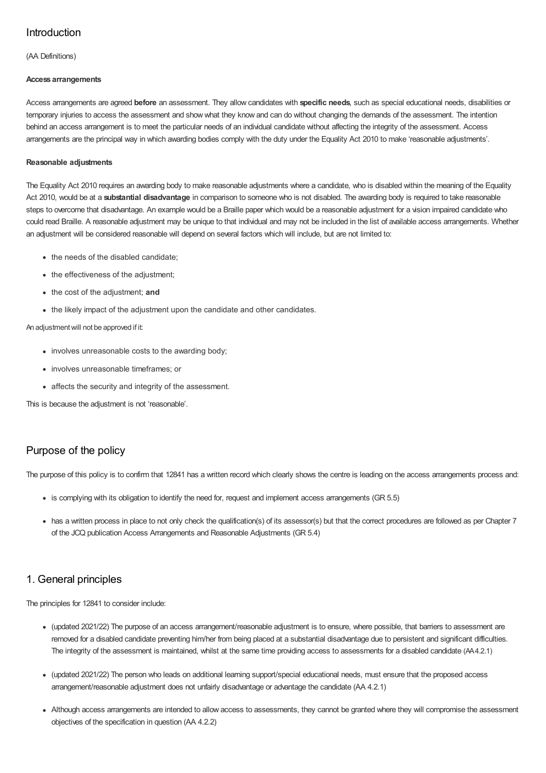# Introduction

(AA Definitions)

## **Access arrangements**

Access arrangements are agreed **before** an assessment. They allow candidates with **specific needs**, such as special educational needs, disabilities or temporary injuries to access the assessment and show what they know and can do without changing the demands of the assessment. The intention behind an access arrangement is to meet the particular needs of an individual candidate without affecting the integrity of the assessment. Access arrangements are the principal way in which awarding bodies comply with the duty under the Equality Act 2010 to make 'reasonable adjustments'.

## **Reasonable adjustments**

The Equality Act 2010 requires an awarding body to make reasonable adjustments where a candidate, who is disabled within the meaning of the Equality Act 2010, would be at a **substantial disadvantage** in comparison to someone who is not disabled. The awarding body is required to take reasonable steps to overcome that disadvantage. An example would be a Braille paper which would be a reasonable adjustment for a vision impaired candidate who could read Braille. A reasonable adjustment may be unique to that individual and may not be included in the list of available access arrangements. Whether an adjustment will be considered reasonable will depend on several factors which will include, but are not limited to:

- the needs of the disabled candidate;
- the effectiveness of the adjustment;
- the cost of the adjustment; **and**
- the likely impact of the adjustment upon the candidate and other candidates.

## An adjustmentwill not be approved if it:

- involves unreasonable costs to the awarding body:
- involves unreasonable timeframes; or
- affects the security and integrity of the assessment.

This is because the adjustment is not 'reasonable'.

# Purpose of the policy

The purpose of this policy is to confirm that 12841 has a written record which clearly shows the centre is leading on the access arrangements process and:

- is complying with its obligation to identify the need for, request and implement access arrangements (GR 5.5)
- has a written process in place to not only check the qualification(s) of its assessor(s) but that the correct procedures are followed as per Chapter 7 of the JCQ publication Access Arrangements and Reasonable Adjustments (GR 5.4)

# 1. General principles

The principles for 12841 to consider include:

- (updated 2021/22) The purpose of an access arrangement/reasonable adjustment is to ensure, where possible, that barriers to assessment are removed for a disabled candidate preventing him/her from being placed at a substantial disadvantage due to persistent and significant difficulties. The integrity of the assessment is maintained, whilst at the same time providing access to assessments for a disabled candidate (AA4.2.1)
- (updated 2021/22) The person who leads on additional learning support/special educational needs, must ensure that the proposed access arrangement/reasonable adjustment does not unfairly disadvantage or advantage the candidate (AA 4.2.1)
- Although access arrangements are intended to allow access to assessments, they cannot be granted where they will compromise the assessment objectives of the specification in question (AA 4.2.2)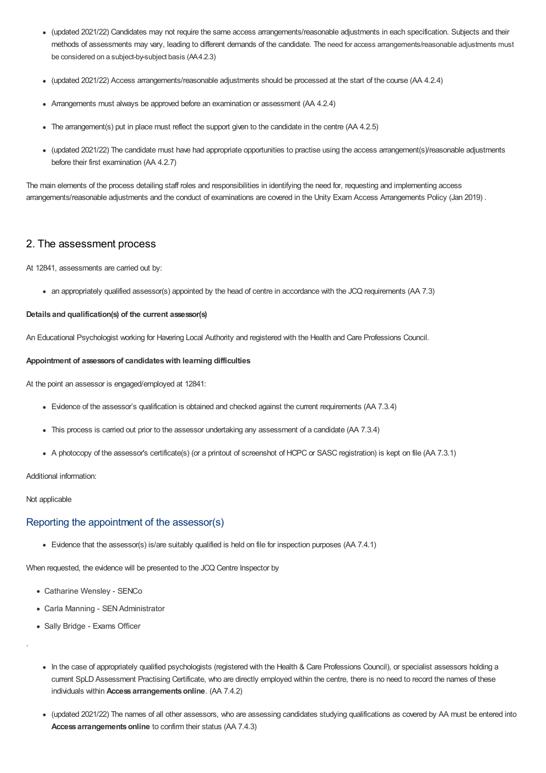- (updated 2021/22) Candidates may not require the same access arrangements/reasonable adjustments in each specification. Subjects and their methods of assessments may vary, leading to different demands of the candidate. The need for access arrangements/reasonable adjustments must be considered on a subject-by-subject basis (AA4.2.3)
- (updated 2021/22) Access arrangements/reasonable adjustments should be processed at the start of the course (AA 4.2.4)
- Arrangements must always be approved before an examination or assessment (AA 4.2.4)
- The arrangement(s) put in place must reflect the support given to the candidate in the centre (AA 4.2.5)
- (updated 2021/22) The candidate must have had appropriate opportunities to practise using the access arrangement(s)/reasonable adjustments before their first examination (AA 4.2.7)

The main elements of the process detailing staff roles and responsibilities in identifying the need for, requesting and implementing access arrangements/reasonable adjustments and the conduct of examinations are covered in the Unity Exam Access Arrangements Policy (Jan 2019) .

# 2. The assessment process

At 12841, assessments are carried out by:

an appropriately qualified assessor(s) appointed by the head of centre in accordance with the JCQ requirements (AA 7.3)

#### **Details and qualification(s) of the current assessor(s)**

An Educational Psychologist working for Havering Local Authority and registered with the Health and Care Professions Council.

#### **Appointment of assessorsof candidateswith learning difficulties**

At the point an assessor is engaged/employed at 12841:

- Evidence of the assessor's qualification is obtained and checked against the current requirements (AA 7.3.4)
- This process is carried out prior to the assessor undertaking any assessment of a candidate (AA 7.3.4)
- A photocopy of the assessor's certificate(s) (or a printout of screenshot of HCPC or SASC registration) is kept on file (AA 7.3.1)

Additional information:

#### Not applicable

.

## Reporting the appointment of the assessor(s)

Evidence that the assessor(s) is/are suitably qualified is held on file for inspection purposes (AA 7.4.1)

When requested, the evidence will be presented to the JCQ Centre Inspector by

- Catharine Wensley SENCo
- Carla Manning SEN Administrator
- Sally Bridge Exams Officer
- In the case of appropriately qualified psychologists (registered with the Health & Care Professions Council), or specialist assessors holding a current SpLD Assessment Practising Certificate, who are directly employed within the centre, there is no need to record the names of these individuals within **Access arrangementsonline**. (AA 7.4.2)
- (updated 2021/22) The names of all other assessors, who are assessing candidates studying qualifications as covered by AA must be entered into **Access arrangementsonline** to confirm their status (AA 7.4.3)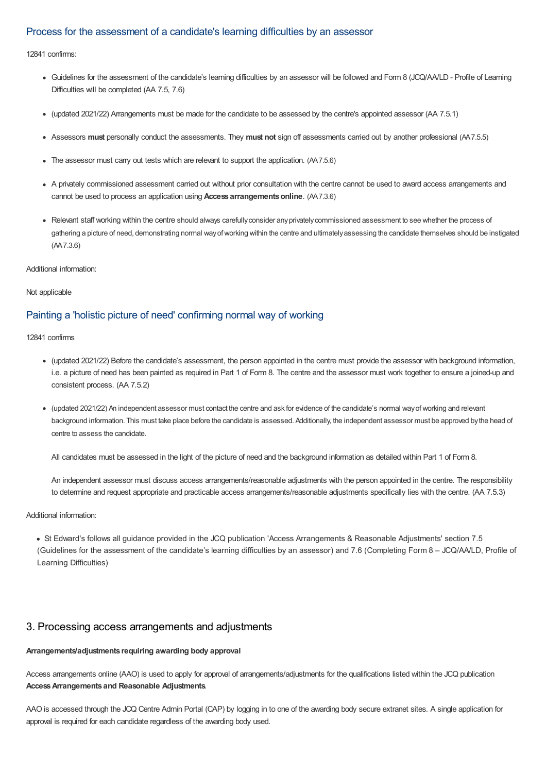## Process for the assessment of a candidate's learning difficulties by an assessor

12841 confirms:

- Guidelines for the assessment of the candidate's learning difficulties by an assessor will be followed and Form 8 (JCQ/AA/LD Profile of Learning Difficulties will be completed (AA 7.5, 7.6)
- (updated 2021/22) Arrangements must be made for the candidate to be assessed by the centre's appointed assessor (AA 7.5.1)
- Assessors **must** personally conduct the assessments. They **must not** sign off assessments carried out by another professional (AA7.5.5)
- The assessor must carry out tests which are relevant to support the application. (AA7.5.6)
- A privately commissioned assessment carried out without prior consultation with the centre cannot be used to award access arrangements and cannot be used to process an application using **Access arrangementsonline**. (AA7.3.6)
- Relevant staff working within the centre should always carefullyconsider anyprivatelycommissioned assessment to see whether the process of gathering a picture of need, demonstrating normal wayofworking within the centre and ultimatelyassessing the candidate themselves should be instigated (AA7.3.6)

Additional information:

Not applicable

# Painting a 'holistic picture of need' confirming normal way of working

12841 confirms

- (updated 2021/22) Before the candidate's assessment, the person appointed in the centre must provide the assessor with background information, i.e. a picture of need has been painted as required in Part 1 of Form 8. The centre and the assessor must work together to ensure a joined-up and consistent process. (AA 7.5.2)
- (updated 2021/22) An independent assessor must contact the centre and ask for evidence of the candidate's normal wayofworking and relevant background information. This must take place before the candidate is assessed. Additionally, the independent assessor must be approved bythe head of centre to assess the candidate.

All candidates must be assessed in the light of the picture of need and the background information as detailed within Part 1 of Form 8.

An independent assessor must discuss access arrangements/reasonable adjustments with the person appointed in the centre. The responsibility to determine and request appropriate and practicable access arrangements/reasonable adjustments specifically lies with the centre. (AA 7.5.3)

Additional information:

St Edward's follows all guidance provided in the JCQ publication 'Access Arrangements & Reasonable Adjustments' section 7.5 (Guidelines for the assessment of the candidate's learning difficulties by an assessor) and 7.6 (Completing Form 8 – JCQ/AA/LD, Profile of Learning Difficulties)

# 3. Processing access arrangements and adjustments

# **Arrangements/adjustments requiring awarding body approval**

Access arrangements online (AAO) is used to apply for approval of arrangements/adjustments for the qualifications listed within the JCQ publication **AccessArrangements and Reasonable Adjustments**.

AAO is accessed through the JCQ Centre Admin Portal (CAP) by logging in to one of the awarding body secure extranet sites. A single application for approval is required for each candidate regardless of the awarding body used.